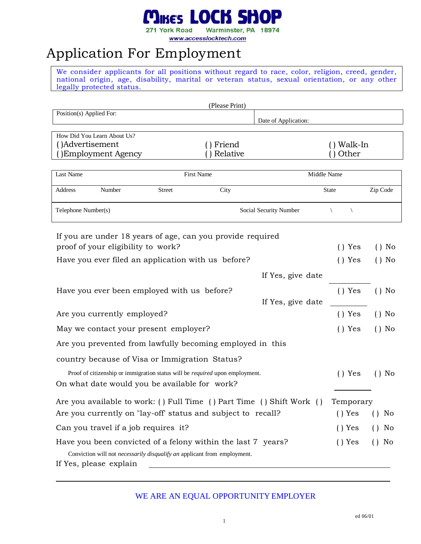#### Mikes LOCK SH 0P

271 York Road Warminster, PA 18974

www.accesslocktech.com

### Application For Employment

We consider applicants for all positions without regard to race, color, religion, creed, gender, national origin, age, disability, marital or veteran status, sexual orientation, or any other legally protected status.

| (Please Print)                                                                      |                                                                          |                        |                               |                          |  |
|-------------------------------------------------------------------------------------|--------------------------------------------------------------------------|------------------------|-------------------------------|--------------------------|--|
| Position(s) Applied For:                                                            |                                                                          | Date of Application:   |                               |                          |  |
|                                                                                     |                                                                          |                        |                               |                          |  |
| How Did You Learn About Us?                                                         |                                                                          |                        |                               |                          |  |
| ()Advertisement                                                                     | ) Friend                                                                 |                        | Walk-In                       |                          |  |
| Employment Agency                                                                   | Relative                                                                 |                        | Other                         |                          |  |
|                                                                                     |                                                                          |                        |                               |                          |  |
| Last Name                                                                           | First Name                                                               |                        | Middle Name                   |                          |  |
| Address<br>Number                                                                   | City<br><b>Street</b>                                                    |                        | <b>State</b>                  | Zip Code                 |  |
| Telephone Number(s)                                                                 |                                                                          | Social Security Number | $\sqrt{2}$                    |                          |  |
| If you are under 18 years of age, can you provide required                          |                                                                          |                        |                               |                          |  |
| proof of your eligibility to work?                                                  |                                                                          |                        | Yes                           | $()$ No                  |  |
| Have you ever filed an application with us before?                                  |                                                                          |                        | Yes<br>$\left( \quad \right)$ | $()$ No                  |  |
|                                                                                     |                                                                          | If Yes, give date      |                               |                          |  |
| Have you ever been employed with us before?                                         |                                                                          |                        | () Yes                        | $()$ No                  |  |
|                                                                                     |                                                                          | If Yes, give date      |                               |                          |  |
| Are you currently employed?                                                         |                                                                          |                        | () Yes                        | $()$ No                  |  |
| May we contact your present employer?                                               |                                                                          |                        | () Yes                        | $()$ No                  |  |
| Are you prevented from lawfully becoming employed in this                           |                                                                          |                        |                               |                          |  |
| country because of Visa or Immigration Status?                                      |                                                                          |                        |                               |                          |  |
| Proof of citizenship or immigration status will be <i>required</i> upon employment. |                                                                          |                        | () Yes                        | $()$ No                  |  |
| On what date would you be available for work?                                       |                                                                          |                        |                               |                          |  |
| Are you available to work: () Full Time () Part Time () Shift Work ()               |                                                                          |                        | Temporary                     |                          |  |
| Are you currently on "lay-off' status and subject to recall?                        |                                                                          |                        | () Yes                        | No<br>$\left( \ \right)$ |  |
| Can you travel if a job requires it?                                                |                                                                          |                        | () Yes                        | No<br>$\left( \right)$   |  |
| Have you been convicted of a felony within the last 7 years?                        |                                                                          |                        | $()$ Yes                      | No<br>$\left( \ \right)$ |  |
|                                                                                     | Conviction will not necessarily disqualify an applicant from employment. |                        |                               |                          |  |
| If Yes, please explain                                                              |                                                                          |                        |                               |                          |  |

### WE ARE AN EQUAL OPPORTUNITY EMPLOYER

1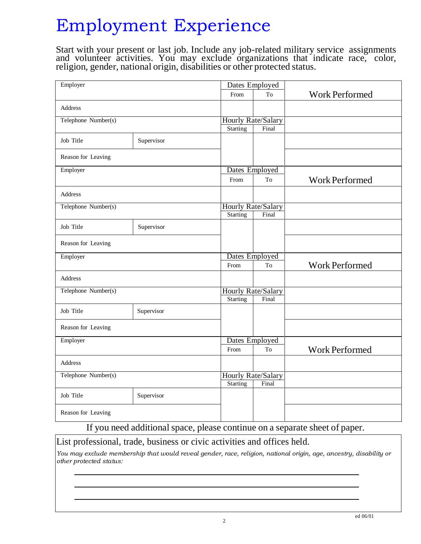## Employment Experience

Start with your present or last job. Include any job-related military service assignments and volunteer activities. You may exclude organizations that indicate race, color, religion, gender, national origin, disabilities or other protected status.

| Employer            |            | Dates Employed  |                    |                       |
|---------------------|------------|-----------------|--------------------|-----------------------|
|                     |            | From            | To                 | <b>Work Performed</b> |
| <b>Address</b>      |            |                 |                    |                       |
| Telephone Number(s) |            |                 | Hourly Rate/Salary |                       |
|                     |            | <b>Starting</b> | Final              |                       |
| Job Title           | Supervisor |                 |                    |                       |
| Reason for Leaving  |            |                 |                    |                       |
| Employer            |            | Dates Employed  |                    |                       |
|                     |            | From            | To                 | <b>Work Performed</b> |
| Address             |            |                 |                    |                       |
| Telephone Number(s) |            |                 | Hourly Rate/Salary |                       |
|                     |            | <b>Starting</b> | Final              |                       |
| Job Title           | Supervisor |                 |                    |                       |
| Reason for Leaving  |            |                 |                    |                       |
| Employer            |            | Dates Employed  |                    |                       |
|                     |            | From            | To                 | <b>Work Performed</b> |
| Address             |            |                 |                    |                       |
| Telephone Number(s) |            |                 | Hourly Rate/Salary |                       |
|                     |            | <b>Starting</b> | Final              |                       |
| Job Title           | Supervisor |                 |                    |                       |
| Reason for Leaving  |            |                 |                    |                       |
| Employer            |            |                 | Dates Employed     |                       |
|                     |            | From            | T <sub>o</sub>     | <b>Work Performed</b> |
| Address             |            |                 |                    |                       |
| Telephone Number(s) |            |                 | Hourly Rate/Salary |                       |
|                     |            | Starting        | Final              |                       |
| Job Title           | Supervisor |                 |                    |                       |
| Reason for Leaving  |            |                 |                    |                       |
|                     |            |                 |                    |                       |

If you need additional space, please continue on a separate sheet of paper.

List professional, trade, business or civic activities and offices held.

*You may exclude membership that would reveal gender, race, religion, national origin, age, ancestry, disability or other protected status:*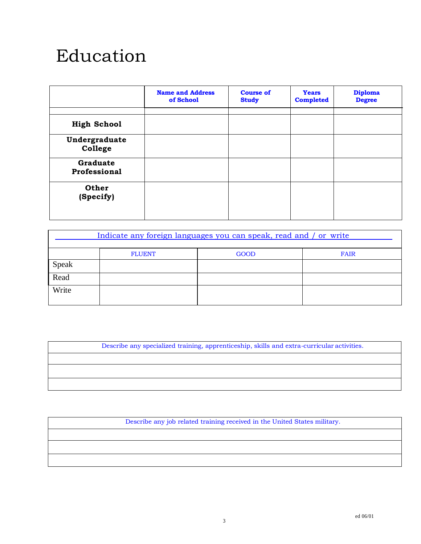### Education

|                          | <b>Name and Address</b><br>of School | <b>Course of</b><br><b>Study</b> | <b>Years</b><br><b>Completed</b> | <b>Diploma</b><br><b>Degree</b> |
|--------------------------|--------------------------------------|----------------------------------|----------------------------------|---------------------------------|
| <b>High School</b>       |                                      |                                  |                                  |                                 |
| Undergraduate<br>College |                                      |                                  |                                  |                                 |
| Graduate<br>Professional |                                      |                                  |                                  |                                 |
| Other<br>(Specify)       |                                      |                                  |                                  |                                 |

| Indicate any foreign languages you can speak, read and / or write |               |             |      |  |
|-------------------------------------------------------------------|---------------|-------------|------|--|
|                                                                   | <b>FLUENT</b> | <b>GOOD</b> | FAIR |  |
| Speak                                                             |               |             |      |  |
| Read                                                              |               |             |      |  |
| Write                                                             |               |             |      |  |

Describe any specialized training, apprenticeship, skills and extra-curricular activities.

Describe any job related training received in the United States military.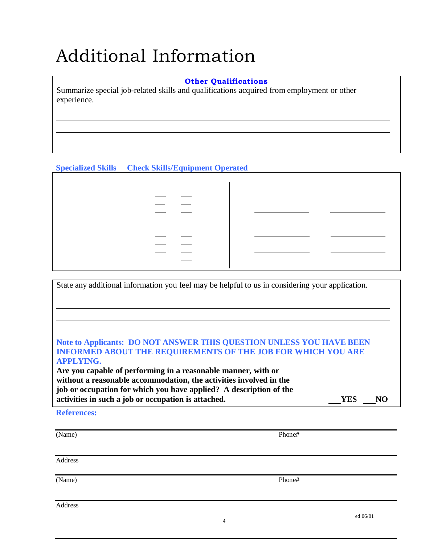# Additional Information

#### **Other Qualifications**

Summarize special job-related skills and qualifications acquired from employment or other experience.

### **Specialized Skills Check Skills/Equipment Operated**

State any additional information you feel may be helpful to us in considering your application. **Note to Applicants: DO NOT ANSWER THIS QUESTION UNLESS YOU HAVE BEEN INFORMED ABOUT THE REQUIREMENTS OF THE JOB FOR WHICH YOU ARE APPLYING. Are you capable of performing in a reasonable manner, with or without a reasonable accommodation, the activities involved in the job or occupation for which you have applied? A description of the activities** in such a job or occupation is attached. The **VES** NO

**References:**

(Name) Phone#

Address

(Name) Phone#

Address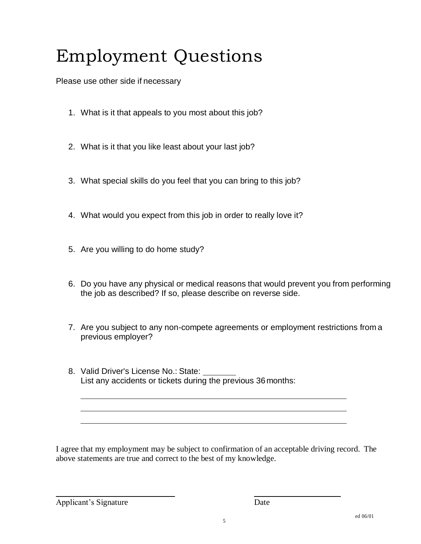# Employment Questions

Please use other side if necessary

- 1. What is it that appeals to you most about this job?
- 2. What is it that you like least about your last job?
- 3. What special skills do you feel that you can bring to this job?
- 4. What would you expect from this job in order to really love it?
- 5. Are you willing to do home study?
- 6. Do you have any physical or medical reasons that would prevent you from performing the job as described? If so, please describe on reverse side.
- 7. Are you subject to any non-compete agreements or employment restrictions from a previous employer?
- 8. Valid Driver's License No.: State: List any accidents or tickets during the previous 36months:

I agree that my employment may be subject to confirmation of an acceptable driving record. The above statements are true and correct to the best of my knowledge.

Applicant's Signature Date